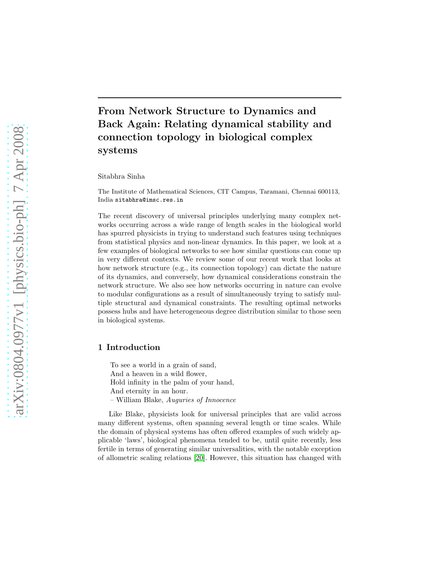# From Network Structure to Dynamics and Back Again: Relating dynamical stability and connection topology in biological complex systems

Sitabhra Sinha

The Institute of Mathematical Sciences, CIT Campus, Taramani, Chennai 600113, India sitabhra@imsc.res.in

The recent discovery of universal principles underlying many complex networks occurring across a wide range of length scales in the biological world has spurred physicists in trying to understand such features using techniques from statistical physics and non-linear dynamics. In this paper, we look at a few examples of biological networks to see how similar questions can come up in very different contexts. We review some of our recent work that looks at how network structure (e.g., its connection topology) can dictate the nature of its dynamics, and conversely, how dynamical considerations constrain the network structure. We also see how networks occurring in nature can evolve to modular configurations as a result of simultaneously trying to satisfy multiple structural and dynamical constraints. The resulting optimal networks possess hubs and have heterogeneous degree distribution similar to those seen in biological systems.

# 1 Introduction

To see a world in a grain of sand, And a heaven in a wild flower, Hold infinity in the palm of your hand, And eternity in an hour. – William Blake, Auguries of Innocence

Like Blake, physicists look for universal principles that are valid across many different systems, often spanning several length or time scales. While the domain of physical systems has often offered examples of such widely applicable 'laws', biological phenomena tended to be, until quite recently, less fertile in terms of generating similar universalities, with the notable exception of allometric scaling relations [\[20\]](#page-14-0). However, this situation has changed with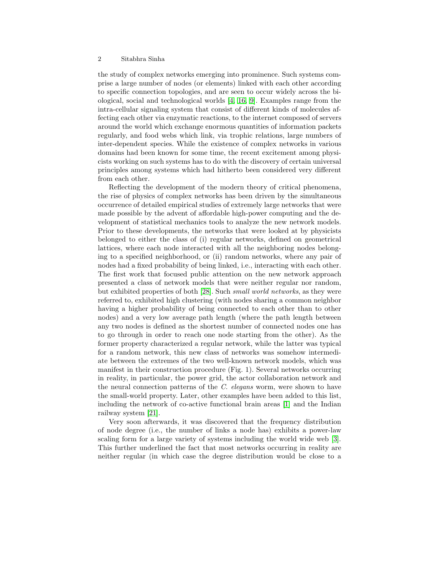the study of complex networks emerging into prominence. Such systems comprise a large number of nodes (or elements) linked with each other according to specific connection topologies, and are seen to occur widely across the biological, social and technological worlds [\[4,](#page-13-0) [16,](#page-14-1) [9\]](#page-13-1). Examples range from the intra-cellular signaling system that consist of different kinds of molecules affecting each other via enzymatic reactions, to the internet composed of servers around the world which exchange enormous quantities of information packets regularly, and food webs which link, via trophic relations, large numbers of inter-dependent species. While the existence of complex networks in various domains had been known for some time, the recent excitement among physicists working on such systems has to do with the discovery of certain universal principles among systems which had hitherto been considered very different from each other.

Reflecting the development of the modern theory of critical phenomena, the rise of physics of complex networks has been driven by the simultaneous occurrence of detailed empirical studies of extremely large networks that were made possible by the advent of affordable high-power computing and the development of statistical mechanics tools to analyze the new network models. Prior to these developments, the networks that were looked at by physicists belonged to either the class of (i) regular networks, defined on geometrical lattices, where each node interacted with all the neighboring nodes belonging to a specified neighborhood, or (ii) random networks, where any pair of nodes had a fixed probability of being linked, i.e., interacting with each other. The first work that focused public attention on the new network approach presented a class of network models that were neither regular nor random, but exhibited properties of both [\[28\]](#page-14-2). Such small world networks, as they were referred to, exhibited high clustering (with nodes sharing a common neighbor having a higher probability of being connected to each other than to other nodes) and a very low average path length (where the path length between any two nodes is defined as the shortest number of connected nodes one has to go through in order to reach one node starting from the other). As the former property characterized a regular network, while the latter was typical for a random network, this new class of networks was somehow intermediate between the extremes of the two well-known network models, which was manifest in their construction procedure (Fig. 1). Several networks occurring in reality, in particular, the power grid, the actor collaboration network and the neural connection patterns of the C. elegans worm, were shown to have the small-world property. Later, other examples have been added to this list, including the network of co-active functional brain areas [\[1\]](#page-13-2) and the Indian railway system [\[21\]](#page-14-3).

Very soon afterwards, it was discovered that the frequency distribution of node degree (i.e., the number of links a node has) exhibits a power-law scaling form for a large variety of systems including the world wide web [\[3\]](#page-13-3). This further underlined the fact that most networks occurring in reality are neither regular (in which case the degree distribution would be close to a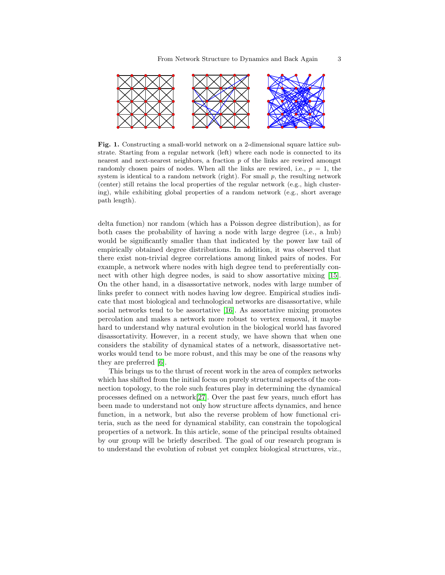

Fig. 1. Constructing a small-world network on a 2-dimensional square lattice substrate. Starting from a regular network (left) where each node is connected to its nearest and next-nearest neighbors, a fraction p of the links are rewired amongst randomly chosen pairs of nodes. When all the links are rewired, i.e.,  $p = 1$ , the system is identical to a random network (right). For small  $p$ , the resulting network (center) still retains the local properties of the regular network (e.g., high clustering), while exhibiting global properties of a random network (e.g., short average path length).

delta function) nor random (which has a Poisson degree distribution), as for both cases the probability of having a node with large degree (i.e., a hub) would be significantly smaller than that indicated by the power law tail of empirically obtained degree distributions. In addition, it was observed that there exist non-trivial degree correlations among linked pairs of nodes. For example, a network where nodes with high degree tend to preferentially connect with other high degree nodes, is said to show assortative mixing [\[15\]](#page-14-4). On the other hand, in a disassortative network, nodes with large number of links prefer to connect with nodes having low degree. Empirical studies indicate that most biological and technological networks are disassortative, while social networks tend to be assortative [\[16\]](#page-14-1). As assortative mixing promotes percolation and makes a network more robust to vertex removal, it maybe hard to understand why natural evolution in the biological world has favored disassortativity. However, in a recent study, we have shown that when one considers the stability of dynamical states of a network, disassortative networks would tend to be more robust, and this may be one of the reasons why they are preferred [\[6\]](#page-13-4).

This brings us to the thrust of recent work in the area of complex networks which has shifted from the initial focus on purely structural aspects of the connection topology, to the role such features play in determining the dynamical processes defined on a network[\[27\]](#page-14-5). Over the past few years, much effort has been made to understand not only how structure affects dynamics, and hence function, in a network, but also the reverse problem of how functional criteria, such as the need for dynamical stability, can constrain the topological properties of a network. In this article, some of the principal results obtained by our group will be briefly described. The goal of our research program is to understand the evolution of robust yet complex biological structures, viz.,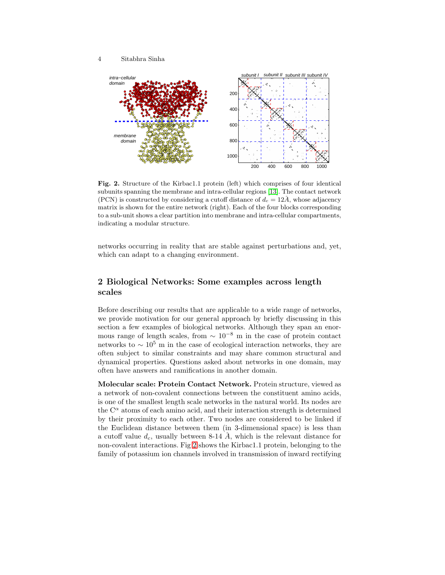

<span id="page-3-0"></span>Fig. 2. Structure of the Kirbac1.1 protein (left) which comprises of four identical subunits spanning the membrane and intra-cellular regions [\[13\]](#page-14-6). The contact network (PCN) is constructed by considering a cutoff distance of  $d_c = 12\AA$ , whose adjacency matrix is shown for the entire network (right). Each of the four blocks corresponding to a sub-unit shows a clear partition into membrane and intra-cellular compartments, indicating a modular structure.

networks occurring in reality that are stable against perturbations and, yet, which can adapt to a changing environment.

# 2 Biological Networks: Some examples across length scales

Before describing our results that are applicable to a wide range of networks, we provide motivation for our general approach by briefly discussing in this section a few examples of biological networks. Although they span an enormous range of length scales, from  $\sim 10^{-8}$  m in the case of protein contact networks to  $\sim 10^5$  m in the case of ecological interaction networks, they are often subject to similar constraints and may share common structural and dynamical properties. Questions asked about networks in one domain, may often have answers and ramifications in another domain.

Molecular scale: Protein Contact Network. Protein structure, viewed as a network of non-covalent connections between the constituent amino acids, is one of the smallest length scale networks in the natural world. Its nodes are the  $C^{\alpha}$  atoms of each amino acid, and their interaction strength is determined by their proximity to each other. Two nodes are considered to be linked if the Euclidean distance between them (in 3-dimensional space) is less than a cutoff value  $d_c$ , usually between 8-14  $\AA$ , which is the relevant distance for non-covalent interactions. Fig [2](#page-3-0) shows the Kirbac1.1 protein, belonging to the family of potassium ion channels involved in transmission of inward rectifying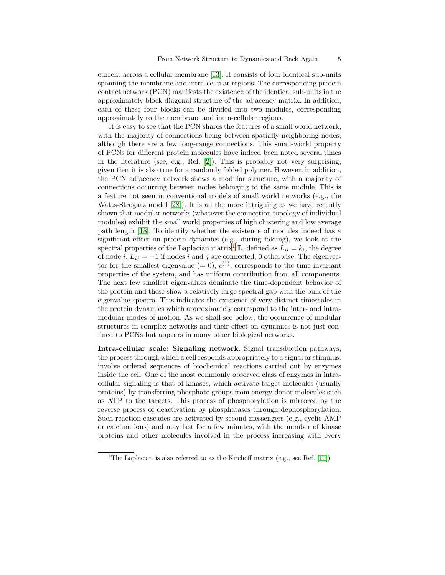current across a cellular membrane [\[13\]](#page-14-6). It consists of four identical sub-units spanning the membrane and intra-cellular regions. The corresponding protein contact network (PCN) manifests the existence of the identical sub-units in the approximately block diagonal structure of the adjacency matrix. In addition, each of these four blocks can be divided into two modules, corresponding approximately to the membrane and intra-cellular regions.

It is easy to see that the PCN shares the features of a small world network, with the majority of connections being between spatially neighboring nodes, although there are a few long-range connections. This small-world property of PCNs for different protein molecules have indeed been noted several times in the literature (see, e.g., Ref. [\[2\]](#page-13-5)). This is probably not very surprising, given that it is also true for a randomly folded polymer. However, in addition, the PCN adjacency network shows a modular structure, with a majority of connections occurring between nodes belonging to the same module. This is a feature not seen in conventional models of small world networks (e.g., the Watts-Strogatz model [\[28\]](#page-14-2)). It is all the more intriguing as we have recently shown that modular networks (whatever the connection topology of individual modules) exhibit the small world properties of high clustering and low average path length [\[18\]](#page-14-7). To identify whether the existence of modules indeed has a significant effect on protein dynamics (e.g., during folding), we look at the spectral properties of the Laplacian matrix<sup>[1](#page-4-0)</sup> **L**, defined as  $L_{ii} = k_i$ , the degree of node i,  $L_{ij} = -1$  if nodes i and j are connected, 0 otherwise. The eigenvector for the smallest eigenvalue  $(= 0)$ ,  $c^{(1)}$ , corresponds to the time-invariant properties of the system, and has uniform contribution from all components. The next few smallest eigenvalues dominate the time-dependent behavior of the protein and these show a relatively large spectral gap with the bulk of the eigenvalue spectra. This indicates the existence of very distinct timescales in the protein dynamics which approximately correspond to the inter- and intramodular modes of motion. As we shall see below, the occurrence of modular structures in complex networks and their effect on dynamics is not just confined to PCNs but appears in many other biological networks.

Intra-cellular scale: Signaling network. Signal transduction pathways, the process through which a cell responds appropriately to a signal or stimulus, involve ordered sequences of biochemical reactions carried out by enzymes inside the cell. One of the most commonly observed class of enzymes in intracellular signaling is that of kinases, which activate target molecules (usually proteins) by transferring phosphate groups from energy donor molecules such as ATP to the targets. This process of phosphorylation is mirrored by the reverse process of deactivation by phosphatases through dephosphorylation. Such reaction cascades are activated by second messengers (e.g., cyclic AMP or calcium ions) and may last for a few minutes, with the number of kinase proteins and other molecules involved in the process increasing with every

<span id="page-4-0"></span><sup>&</sup>lt;sup>1</sup>The Laplacian is also referred to as the Kirchoff matrix (e.g., see Ref. [\[10\]](#page-13-6)).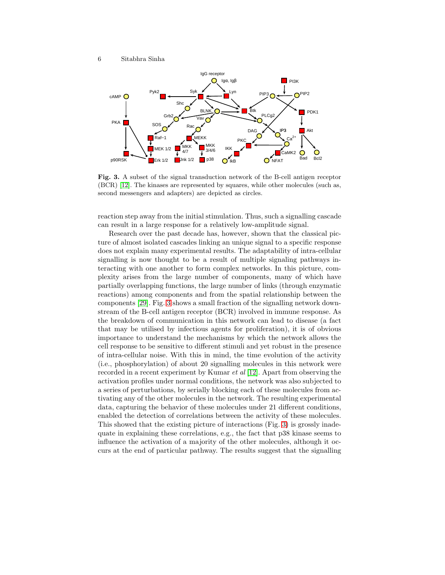

<span id="page-5-0"></span>Fig. 3. A subset of the signal transduction network of the B-cell antigen receptor (BCR) [\[12\]](#page-14-8). The kinases are represented by squares, while other molecules (such as, second messengers and adapters) are depicted as circles.

reaction step away from the initial stimulation. Thus, such a signalling cascade can result in a large response for a relatively low-amplitude signal.

Research over the past decade has, however, shown that the classical picture of almost isolated cascades linking an unique signal to a specific response does not explain many experimental results. The adaptability of intra-cellular signalling is now thought to be a result of multiple signaling pathways interacting with one another to form complex networks. In this picture, complexity arises from the large number of components, many of which have partially overlapping functions, the large number of links (through enzymatic reactions) among components and from the spatial relationship between the components [\[29\]](#page-14-9). Fig. [3](#page-5-0) shows a small fraction of the signalling network downstream of the B-cell antigen receptor (BCR) involved in immune response. As the breakdown of communication in this network can lead to disease (a fact that may be utilised by infectious agents for proliferation), it is of obvious importance to understand the mechanisms by which the network allows the cell response to be sensitive to different stimuli and yet robust in the presence of intra-cellular noise. With this in mind, the time evolution of the activity (i.e., phosphorylation) of about 20 signalling molecules in this network were recorded in a recent experiment by Kumar et al [\[12\]](#page-14-8). Apart from observing the activation profiles under normal conditions, the network was also subjected to a series of perturbations, by serially blocking each of these molecules from activating any of the other molecules in the network. The resulting experimental data, capturing the behavior of these molecules under 21 different conditions, enabled the detection of correlations between the activity of these molecules. This showed that the existing picture of interactions (Fig. [3\)](#page-5-0) is grossly inadequate in explaining these correlations, e.g., the fact that p38 kinase seems to influence the activation of a majority of the other molecules, although it occurs at the end of particular pathway. The results suggest that the signalling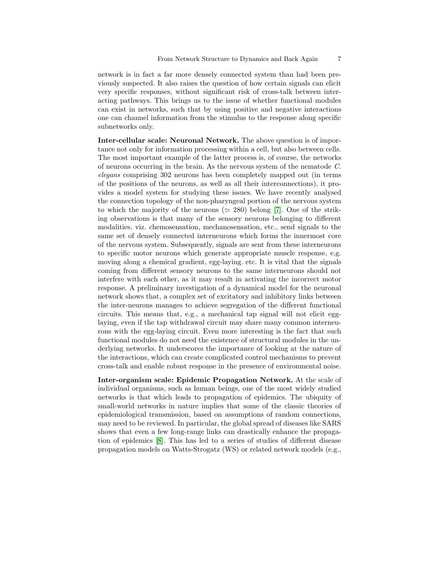network is in fact a far more densely connected system than had been previously suspected. It also raises the question of how certain signals can elicit very specific responses, without significant risk of cross-talk between interacting pathways. This brings us to the issue of whether functional modules can exist in networks, such that by using positive and negative interactions one can channel information from the stimulus to the response along specific subnetworks only.

Inter-cellular scale: Neuronal Network. The above question is of importance not only for information processing within a cell, but also between cells. The most important example of the latter process is, of course, the networks of neurons occurring in the brain. As the nervous system of the nematode C. elegans comprising 302 neurons has been completely mapped out (in terms of the positions of the neurons, as well as all their interconnections), it provides a model system for studying these issues. We have recently analysed the connection topology of the non-pharyngeal portion of the nervous system to which the majority of the neurons ( $\simeq$  280) belong [\[7\]](#page-13-7). One of the striking observations is that many of the sensory neurons belonging to different modalities, viz. chemosensation, mechanosensation, etc., send signals to the same set of densely connected interneurons which forms the innermost core of the nervous system. Subsequently, signals are sent from these interneurons to specific motor neurons which generate appropriate muscle response, e.g. moving along a chemical gradient, egg-laying. etc. It is vital that the signals coming from different sensory neurons to the same interneurons should not interfere with each other, as it may result in activating the incorrect motor response. A preliminary investigation of a dynamical model for the neuronal network shows that, a complex set of excitatory and inhibitory links between the inter-neurons manages to achieve segregation of the different functional circuits. This means that, e.g., a mechanical tap signal will not elicit egglaying, even if the tap withdrawal circuit may share many common interneurons with the egg-laying circuit. Even more interesting is the fact that such functional modules do not need the existence of structural modules in the underlying networks. It underscores the importance of looking at the nature of the interactions, which can create complicated control mechanisms to prevent cross-talk and enable robust response in the presence of environmental noise.

Inter-organism scale: Epidemic Propagation Network. At the scale of individual organisms, such as human beings, one of the most widely studied networks is that which leads to propagation of epidemics. The ubiquity of small-world networks in nature implies that some of the classic theories of epidemiological transmission, based on assumptions of random connections, may need to be reviewed. In particular, the global spread of diseases like SARS shows that even a few long-range links can drastically enhance the propagation of epidemics [\[8\]](#page-13-8). This has led to a series of studies of different disease propagation models on Watts-Strogatz (WS) or related network models (e.g.,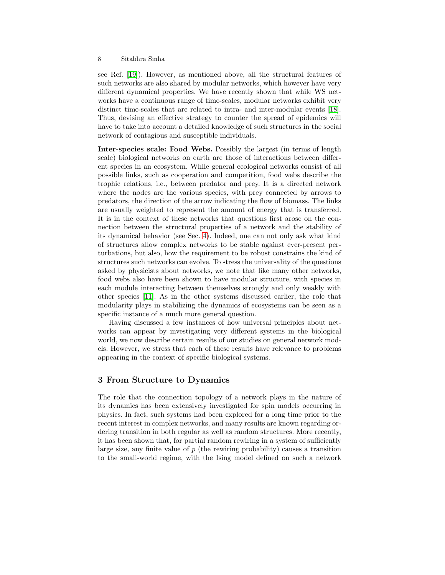see Ref. [\[19\]](#page-14-10)). However, as mentioned above, all the structural features of such networks are also shared by modular networks, which however have very different dynamical properties. We have recently shown that while WS networks have a continuous range of time-scales, modular networks exhibit very distinct time-scales that are related to intra- and inter-modular events [\[18\]](#page-14-7). Thus, devising an effective strategy to counter the spread of epidemics will have to take into account a detailed knowledge of such structures in the social network of contagious and susceptible individuals.

Inter-species scale: Food Webs. Possibly the largest (in terms of length scale) biological networks on earth are those of interactions between different species in an ecosystem. While general ecological networks consist of all possible links, such as cooperation and competition, food webs describe the trophic relations, i.e., between predator and prey. It is a directed network where the nodes are the various species, with prey connected by arrows to predators, the direction of the arrow indicating the flow of biomass. The links are usually weighted to represent the amount of energy that is transferred. It is in the context of these networks that questions first arose on the connection between the structural properties of a network and the stability of its dynamical behavior (see Sec. [4\)](#page-9-0). Indeed, one can not only ask what kind of structures allow complex networks to be stable against ever-present perturbations, but also, how the requirement to be robust constrains the kind of structures such networks can evolve. To stress the universality of the questions asked by physicists about networks, we note that like many other networks, food webs also have been shown to have modular structure, with species in each module interacting between themselves strongly and only weakly with other species [\[11\]](#page-14-11). As in the other systems discussed earlier, the role that modularity plays in stabilizing the dynamics of ecosystems can be seen as a specific instance of a much more general question.

Having discussed a few instances of how universal principles about networks can appear by investigating very different systems in the biological world, we now describe certain results of our studies on general network models. However, we stress that each of these results have relevance to problems appearing in the context of specific biological systems.

# 3 From Structure to Dynamics

The role that the connection topology of a network plays in the nature of its dynamics has been extensively investigated for spin models occurring in physics. In fact, such systems had been explored for a long time prior to the recent interest in complex networks, and many results are known regarding ordering transition in both regular as well as random structures. More recently, it has been shown that, for partial random rewiring in a system of sufficiently large size, any finite value of  $p$  (the rewiring probability) causes a transition to the small-world regime, with the Ising model defined on such a network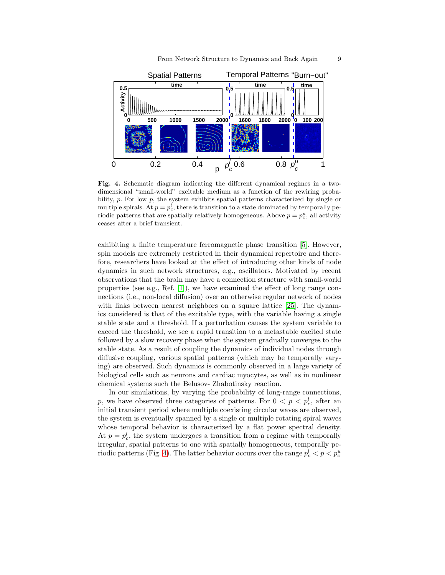

<span id="page-8-0"></span>Fig. 4. Schematic diagram indicating the different dynamical regimes in a twodimensional "small-world" excitable medium as a function of the rewiring probability, p. For low p, the system exhibits spatial patterns characterized by single or multiple spirals. At  $p = p_c^l$ , there is transition to a state dominated by temporally periodic patterns that are spatially relatively homogeneous. Above  $p = p_c^u$ , all activity ceases after a brief transient.

exhibiting a finite temperature ferromagnetic phase transition [\[5\]](#page-13-9). However, spin models are extremely restricted in their dynamical repertoire and therefore, researchers have looked at the effect of introducing other kinds of node dynamics in such network structures, e.g., oscillators. Motivated by recent observations that the brain may have a connection structure with small-world properties (see e.g., Ref. [\[1\]](#page-13-2)), we have examined the effect of long range connections (i.e., non-local diffusion) over an otherwise regular network of nodes with links between nearest neighbors on a square lattice [\[25\]](#page-14-12). The dynamics considered is that of the excitable type, with the variable having a single stable state and a threshold. If a perturbation causes the system variable to exceed the threshold, we see a rapid transition to a metastable excited state followed by a slow recovery phase when the system gradually converges to the stable state. As a result of coupling the dynamics of individual nodes through diffusive coupling, various spatial patterns (which may be temporally varying) are observed. Such dynamics is commonly observed in a large variety of biological cells such as neurons and cardiac myocytes, as well as in nonlinear chemical systems such the Belusov- Zhabotinsky reaction.

In our simulations, by varying the probability of long-range connections, p, we have observed three categories of patterns. For  $0 < p < p_c^l$ , after an initial transient period where multiple coexisting circular waves are observed, the system is eventually spanned by a single or multiple rotating spiral waves whose temporal behavior is characterized by a flat power spectral density. At  $p = p_c^l$ , the system undergoes a transition from a regime with temporally irregular, spatial patterns to one with spatially homogeneous, temporally pe-riodic patterns (Fig. [4\)](#page-8-0). The latter behavior occurs over the range  $p_c^l < p < p_c^u$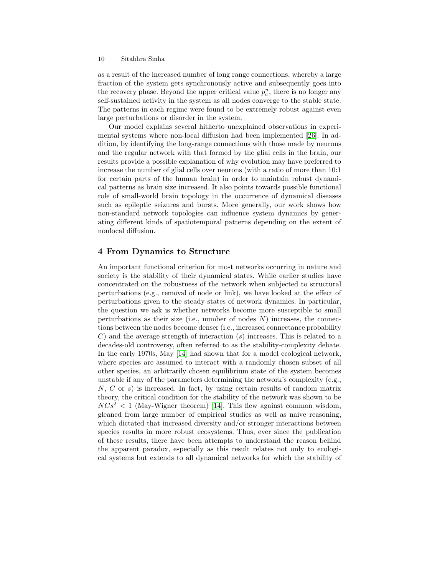as a result of the increased number of long range connections, whereby a large fraction of the system gets synchronously active and subsequently goes into the recovery phase. Beyond the upper critical value  $p_c^u$ , there is no longer any self-sustained activity in the system as all nodes converge to the stable state. The patterns in each regime were found to be extremely robust against even large perturbations or disorder in the system.

Our model explains several hitherto unexplained observations in experimental systems where non-local diffusion had been implemented [\[26\]](#page-14-13). In addition, by identifying the long-range connections with those made by neurons and the regular network with that formed by the glial cells in the brain, our results provide a possible explanation of why evolution may have preferred to increase the number of glial cells over neurons (with a ratio of more than 10:1 for certain parts of the human brain) in order to maintain robust dynamical patterns as brain size increased. It also points towards possible functional role of small-world brain topology in the occurrence of dynamical diseases such as epileptic seizures and bursts. More generally, our work shows how non-standard network topologies can influence system dynamics by generating different kinds of spatiotemporal patterns depending on the extent of nonlocal diffusion.

## <span id="page-9-0"></span>4 From Dynamics to Structure

An important functional criterion for most networks occurring in nature and society is the stability of their dynamical states. While earlier studies have concentrated on the robustness of the network when subjected to structural perturbations (e.g., removal of node or link), we have looked at the effect of perturbations given to the steady states of network dynamics. In particular, the question we ask is whether networks become more susceptible to small perturbations as their size (i.e., number of nodes  $N$ ) increases, the connections between the nodes become denser (i.e., increased connectance probability  $C$ ) and the average strength of interaction (s) increases. This is related to a decades-old controversy, often referred to as the stability-complexity debate. In the early 1970s, May [\[14\]](#page-14-14) had shown that for a model ecological network, where species are assumed to interact with a randomly chosen subset of all other species, an arbitrarily chosen equilibrium state of the system becomes unstable if any of the parameters determining the network's complexity (e.g.,  $N, C$  or s) is increased. In fact, by using certain results of random matrix theory, the critical condition for the stability of the network was shown to be  $NCs<sup>2</sup> < 1$  (May-Wigner theorem) [\[14\]](#page-14-14). This flew against common wisdom, gleaned from large number of empirical studies as well as naive reasoning, which dictated that increased diversity and/or stronger interactions between species results in more robust ecosystems. Thus, ever since the publication of these results, there have been attempts to understand the reason behind the apparent paradox, especially as this result relates not only to ecological systems but extends to all dynamical networks for which the stability of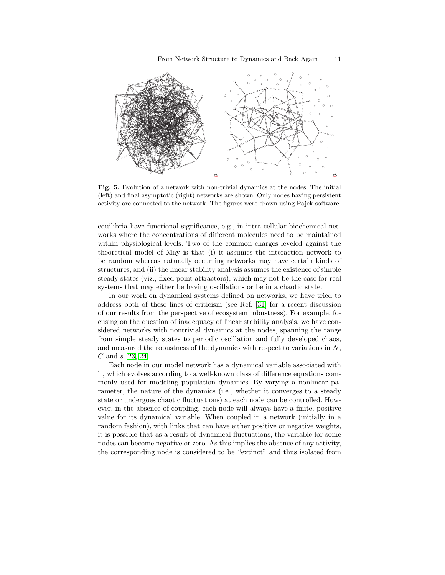

<span id="page-10-0"></span>Fig. 5. Evolution of a network with non-trivial dynamics at the nodes. The initial (left) and final asymptotic (right) networks are shown. Only nodes having persistent activity are connected to the network. The figures were drawn using Pajek software.

equilibria have functional significance, e.g., in intra-cellular biochemical networks where the concentrations of different molecules need to be maintained within physiological levels. Two of the common charges leveled against the theoretical model of May is that (i) it assumes the interaction network to be random whereas naturally occurring networks may have certain kinds of structures, and (ii) the linear stability analysis assumes the existence of simple steady states (viz., fixed point attractors), which may not be the case for real systems that may either be having oscillations or be in a chaotic state.

In our work on dynamical systems defined on networks, we have tried to address both of these lines of criticism (see Ref. [\[31\]](#page-14-15) for a recent discussion of our results from the perspective of ecosystem robustness). For example, focusing on the question of inadequacy of linear stability analysis, we have considered networks with nontrivial dynamics at the nodes, spanning the range from simple steady states to periodic oscillation and fully developed chaos, and measured the robustness of the dynamics with respect to variations in N, C and s [\[23,](#page-14-16) [24\]](#page-14-17).

Each node in our model network has a dynamical variable associated with it, which evolves according to a well-known class of difference equations commonly used for modeling population dynamics. By varying a nonlinear parameter, the nature of the dynamics (i.e., whether it converges to a steady state or undergoes chaotic fluctuations) at each node can be controlled. However, in the absence of coupling, each node will always have a finite, positive value for its dynamical variable. When coupled in a network (initially in a random fashion), with links that can have either positive or negative weights, it is possible that as a result of dynamical fluctuations, the variable for some nodes can become negative or zero. As this implies the absence of any activity, the corresponding node is considered to be "extinct" and thus isolated from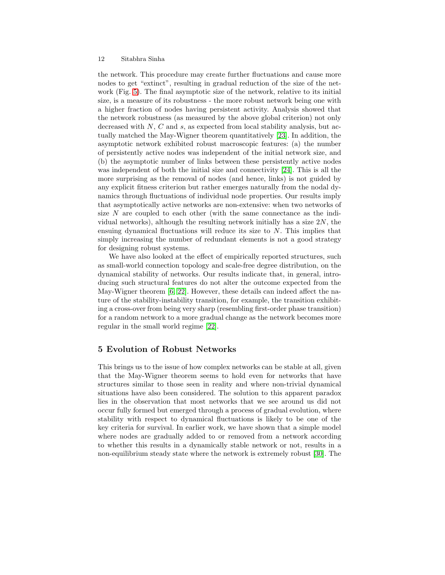the network. This procedure may create further fluctuations and cause more nodes to get "extinct", resulting in gradual reduction of the size of the network (Fig. [5\)](#page-10-0). The final asymptotic size of the network, relative to its initial size, is a measure of its robustness - the more robust network being one with a higher fraction of nodes having persistent activity. Analysis showed that the network robustness (as measured by the above global criterion) not only decreased with  $N$ ,  $C$  and  $s$ , as expected from local stability analysis, but actually matched the May-Wigner theorem quantitatively [\[23\]](#page-14-16). In addition, the asymptotic network exhibited robust macroscopic features: (a) the number of persistently active nodes was independent of the initial network size, and (b) the asymptotic number of links between these persistently active nodes was independent of both the initial size and connectivity [\[24\]](#page-14-17). This is all the more surprising as the removal of nodes (and hence, links) is not guided by any explicit fitness criterion but rather emerges naturally from the nodal dynamics through fluctuations of individual node properties. Our results imply that asymptotically active networks are non-extensive: when two networks of size  $N$  are coupled to each other (with the same connectance as the individual networks), although the resulting network initially has a size  $2N$ , the ensuing dynamical fluctuations will reduce its size to  $N$ . This implies that simply increasing the number of redundant elements is not a good strategy for designing robust systems.

We have also looked at the effect of empirically reported structures, such as small-world connection topology and scale-free degree distribution, on the dynamical stability of networks. Our results indicate that, in general, introducing such structural features do not alter the outcome expected from the May-Wigner theorem [\[6,](#page-13-4) [22\]](#page-14-18). However, these details can indeed affect the nature of the stability-instability transition, for example, the transition exhibiting a cross-over from being very sharp (resembling first-order phase transition) for a random network to a more gradual change as the network becomes more regular in the small world regime [\[22\]](#page-14-18).

# 5 Evolution of Robust Networks

This brings us to the issue of how complex networks can be stable at all, given that the May-Wigner theorem seems to hold even for networks that have structures similar to those seen in reality and where non-trivial dynamical situations have also been considered. The solution to this apparent paradox lies in the observation that most networks that we see around us did not occur fully formed but emerged through a process of gradual evolution, where stability with respect to dynamical fluctuations is likely to be one of the key criteria for survival. In earlier work, we have shown that a simple model where nodes are gradually added to or removed from a network according to whether this results in a dynamically stable network or not, results in a non-equilibrium steady state where the network is extremely robust [\[30\]](#page-14-19). The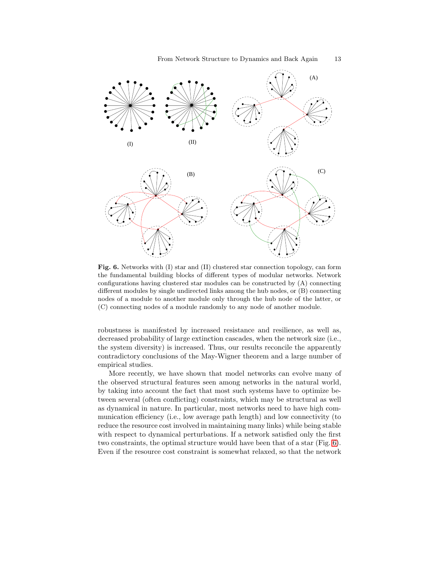

<span id="page-12-0"></span>Fig. 6. Networks with (I) star and (II) clustered star connection topology, can form the fundamental building blocks of different types of modular networks. Network configurations having clustered star modules can be constructed by (A) connecting different modules by single undirected links among the hub nodes, or (B) connecting nodes of a module to another module only through the hub node of the latter, or (C) connecting nodes of a module randomly to any node of another module.

robustness is manifested by increased resistance and resilience, as well as, decreased probability of large extinction cascades, when the network size (i.e., the system diversity) is increased. Thus, our results reconcile the apparently contradictory conclusions of the May-Wigner theorem and a large number of empirical studies.

More recently, we have shown that model networks can evolve many of the observed structural features seen among networks in the natural world, by taking into account the fact that most such systems have to optimize between several (often conflicting) constraints, which may be structural as well as dynamical in nature. In particular, most networks need to have high communication efficiency (i.e., low average path length) and low connectivity (to reduce the resource cost involved in maintaining many links) while being stable with respect to dynamical perturbations. If a network satisfied only the first two constraints, the optimal structure would have been that of a star (Fig. [6\)](#page-12-0). Even if the resource cost constraint is somewhat relaxed, so that the network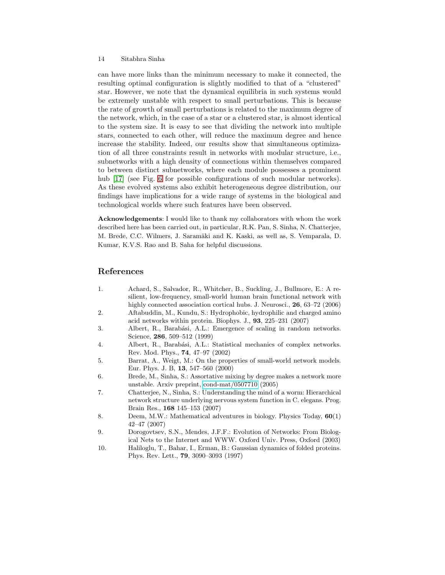can have more links than the minimum necessary to make it connected, the resulting optimal configuration is slightly modified to that of a "clustered" star. However, we note that the dynamical equilibria in such systems would be extremely unstable with respect to small perturbations. This is because the rate of growth of small perturbations is related to the maximum degree of the network, which, in the case of a star or a clustered star, is almost identical to the system size. It is easy to see that dividing the network into multiple stars, connected to each other, will reduce the maximum degree and hence increase the stability. Indeed, our results show that simultaneous optimization of all three constraints result in networks with modular structure, i.e., subnetworks with a high density of connections within themselves compared to between distinct subnetworks, where each module possesses a prominent hub [\[17\]](#page-14-20) (see Fig. [6](#page-12-0) for possible configurations of such modular networks). As these evolved systems also exhibit heterogeneous degree distribution, our findings have implications for a wide range of systems in the biological and technological worlds where such features have been observed.

Acknowledgements: I would like to thank my collaborators with whom the work described here has been carried out, in particular, R.K. Pan, S. Sinha, N. Chatterjee, M. Brede, C.C. Wilmers, J. Saramäki and K. Kaski, as well as, S. Vemparala, D. Kumar, K.V.S. Rao and B. Saha for helpful discussions.

# References

- <span id="page-13-2"></span>1. Achard, S., Salvador, R., Whitcher, B., Suckling, J., Bullmore, E.: A resilient, low-frequency, small-world human brain functional network with highly connected association cortical hubs. J. Neurosci., **26**, 63–72 (2006) 2. Aftabuddin, M., Kundu, S.: Hydrophobic, hydrophilic and charged amino acid networks within protein. Biophys. J., 93, 225–231 (2007) 3. Albert, R., Barabási, A.L.: Emergence of scaling in random networks.
- <span id="page-13-5"></span><span id="page-13-3"></span>Science, 286, 509–512 (1999)
- <span id="page-13-0"></span>4. Albert, R., Barabási, A.L.: Statistical mechanics of complex networks. Rev. Mod. Phys., 74, 47–97 (2002)
- <span id="page-13-9"></span>5. Barrat, A., Weigt, M.: On the properties of small-world network models. Eur. Phys. J. B, 13, 547–560 (2000)
- <span id="page-13-4"></span>6. Brede, M., Sinha, S.: Assortative mixing by degree makes a network more unstable. Arxiv preprint, [cond-mat/0507710](http://arxiv.org/abs/cond-mat/0507710) (2005)
- <span id="page-13-7"></span>7. Chatterjee, N., Sinha, S.: Understanding the mind of a worm: Hierarchical network structure underlying nervous system function in C. elegans. Prog. Brain Res., 168 145–153 (2007)
- <span id="page-13-8"></span>8. Deem, M.W.: Mathematical adventures in biology. Physics Today, 60(1) 42–47 (2007)
- <span id="page-13-1"></span>9. Dorogovtsev, S.N., Mendes, J.F.F.: Evolution of Networks: From Biological Nets to the Internet and WWW. Oxford Univ. Press, Oxford (2003)
- <span id="page-13-6"></span>10. Haliloglu, T., Bahar, I., Erman, B.: Gaussian dynamics of folded proteins. Phys. Rev. Lett., 79, 3090–3093 (1997)